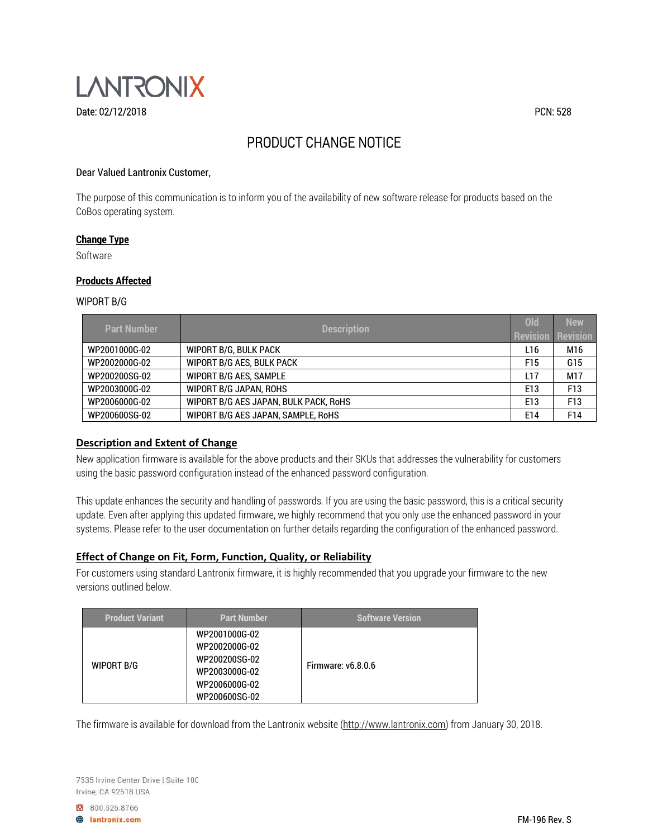

# PRODUCT CHANGE NOTICE

## Dear Valued Lantronix Customer,

The purpose of this communication is to inform you of the availability of new software release for products based on the CoBos operating system.

#### **Change Type**

Software

#### **Products Affected**

#### WIPORT B/G

| <b>Part Number</b> | <b>Description</b>                    | Old             | <b>New</b>      |
|--------------------|---------------------------------------|-----------------|-----------------|
|                    |                                       | <b>Revision</b> | Revision        |
| WP2001000G-02      | WIPORT B/G. BULK PACK                 | L <sub>16</sub> | M16             |
| WP2002000G-02      | WIPORT B/G AES, BULK PACK             | F <sub>15</sub> | G15             |
| WP200200SG-02      | <b>WIPORT B/G AES. SAMPLE</b>         | L17             | M17             |
| WP2003000G-02      | <b>WIPORT B/G JAPAN, ROHS</b>         | E <sub>13</sub> | F <sub>13</sub> |
| WP2006000G-02      | WIPORT B/G AES JAPAN, BULK PACK, RoHS | E <sub>13</sub> | F13             |
| WP200600SG-02      | WIPORT B/G AES JAPAN. SAMPLE, RoHS    | E14             | F14             |

### **Description and Extent of Change**

New application firmware is available for the above products and their SKUs that addresses the vulnerability for customers using the basic password configuration instead of the enhanced password configuration.

This update enhances the security and handling of passwords. If you are using the basic password, this is a critical security update. Even after applying this updated firmware, we highly recommend that you only use the enhanced password in your systems. Please refer to the user documentation on further details regarding the configuration of the enhanced password.

## **Effect of Change on Fit, Form, Function, Quality, or Reliability**

For customers using standard Lantronix firmware, it is highly recommended that you upgrade your firmware to the new versions outlined below.

| <b>Product Variant</b> | <b>Part Number</b>                                                                                 | <b>Software Version</b>   |
|------------------------|----------------------------------------------------------------------------------------------------|---------------------------|
| <b>WIPORT B/G</b>      | WP2001000G-02<br>WP2002000G-02<br>WP200200SG-02<br>WP2003000G-02<br>WP2006000G-02<br>WP200600SG-02 | <b>Firmware: v6.8.0.6</b> |

The firmware is available for download from the Lantronix website (http://www.lantronix.com) from January 30, 2018.

7535 Irvine Center Drive | Suite 100 Irvine, CA 92618 USA

8 800.526.8766

**A** lantronix.com